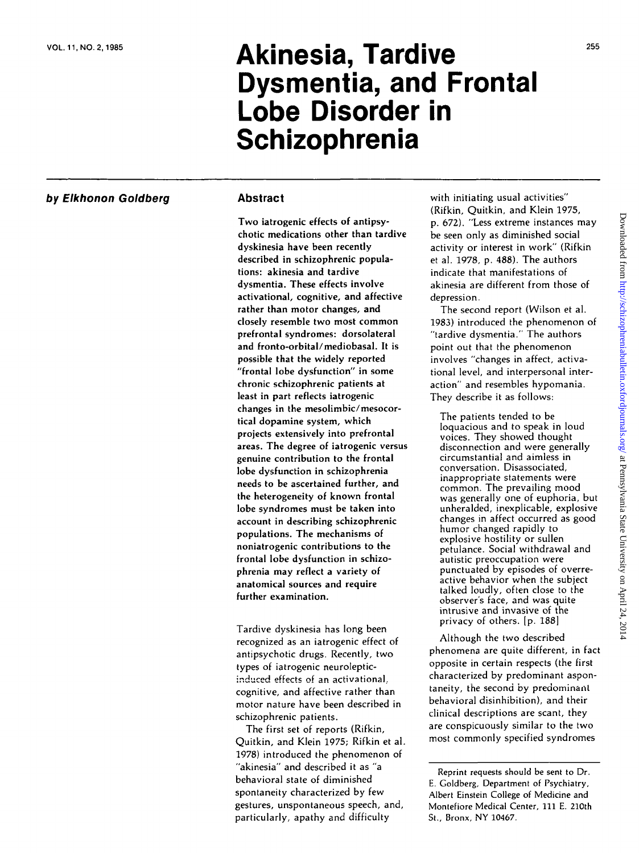# VOL. 11, NO. 2,1985 **Akinesia, Tardive Dysmentia, and Frontal Lobe Disorder in Schizophrenia**

#### **by Elkhonon Goldberg Abstract**

**Two iatrogenic effects of antipsychotic medications other than tardive dyskinesia have been recently described in schizophrenic populations: akinesia and tardive dysmentia. These effects involve activational, cognitive, and affective rather than motor changes, and closely resemble two most common prefrontal syndromes: dorsolateral and fronto-orbital/mediobasal. It is possible that the widely reported "frontal lobe dysfunction" in some chronic schizophrenic patients at least in part reflects iatrogenic changes in the mesolimbic/mesocortical dopamine system, which projects extensively into prefrontal areas. The degree of iatrogenic versus genuine contribution to the frontal lobe dysfunction in schizophrenia needs to be ascertained further, and the heterogeneity of known frontal lobe syndromes must be taken into account in describing schizophrenic populations. The mechanisms of noniatrogenic contributions to the frontal lobe dysfunction in schizophrenia may reflect a variety of** phiema may reflect a variety of **function**<br>*f* 

Tardive dyskinesia has long been recognized as an iatrogenic effect of antipsychotic drugs. Recently, two types of iatrogenic neurolepticinduced effects of an activational, cognitive, and affective rather than motor nature have been described in schizophrenic patients.

The first set of reports (Rifkin, Quitkin, and Klein 1975; Rifkin et al. 1978) introduced the phenomenon of "akinesia" and described it as "a behavioral state of diminished spontaneity characterized by few gestures, unspontaneous speech, and, particularly, apathy and difficulty

with initiating usual activities" (Rifkin, Quitkin, and Klein 1975, p. 672). "Less extreme instances may be seen only as diminished social activity or interest in work" (Rifkin et al. 1978, p. 488). The authors indicate that manifestations of akinesia are different from those of depression.

The second report (Wilson et al. 1983) introduced the phenomenon of "tardive dysmentia." The authors point out that the phenomenon involves "changes in affect, activational level, and interpersonal interaction" and resembles hypomania. They describe it as follows:

The patients tended to be loquacious and to speak in loud voices. They showed thought disconnection and were generally circumstantial and aimless in conversation. Disassociated, inappropriate statements were common. The prevailing mood was generally one of euphoria, but unheralded, inexplicable, explosive changes in affect occurred as good humor changed rapidly to explosive hostility or sullen petulance. Social withdrawal and autistic preoccupation were punctuated by episodes of overreactive behavior when the subject talked loudly, often close to the observer's face, and was quite intrusive and invasive of the privacy of others, [p. 188]

Although the two described phenomena are quite different, in fact opposite in certain respects (the first characterized by predominant aspontaneity, the second by predominant behavioral disinhibition), and their clinical descriptions are scant, they are conspicuously similar to the two most commonly specified syndromes

Reprint requests should be sent to Dr. E. Goldberg, Department of Psychiatry, Albert Einstein College of Medicine and Montefiore Medical Center, 111 E. 210th St., Bronx, NY 10467.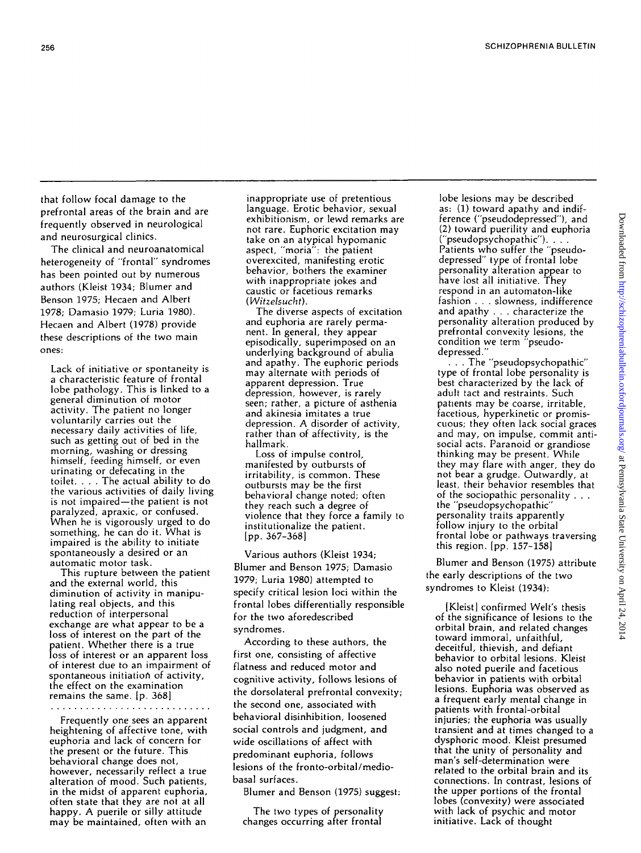that follow focal damage to the prefrontal areas of the brain and are frequently observed in neurological and neurosurgical clinics.

The clinical and neuroanatomical heterogeneity of "frontal" syndromes has been pointed out by numerous authors (Kleist 1934; Blumer and Benson 1975; Hecaen and Albert 1978; Damasio 1979; Luria 1980). Hecaen and Albert (1978) provide these descriptions of the two main ones:

Lack of initiative or spontaneity is a characteristic feature of frontal lobe pathology. This is linked to a general diminution of motor activity. The patient no longer voluntarily carries out the necessary daily activities of life, such as getting out of bed in the morning, washing or dressing himself, feeding himself, or even urinating or defecating in the toilet. . . . The actual ability to do the various activities of daily living is not impaired — the patient is not paralyzed, apraxic, or confused. When he is vigorously urged to do something, he can do it. What is impaired is the ability to initiate spontaneously a desired or an automatic motor task.

This rupture between the patient and the external world, this diminution of activity in manipulating real objects, and this reduction of interpersonal exchange are what appear to be a loss of interest on the part of the patient. Whether there is a true loss of interest or an apparent loss of interest due to an impairment of spontaneous initiation of activity, the effect on the examination remains the same. [p. 368]

#### 

Frequently one sees an apparent heightening of affective tone, with euphoria and lack of concern for the present or the future. This behavioral change does not, however, necessarily reflect a true alteration of mood. Such patients, in the midst of apparent euphoria, often state that they are not at all happy. A puerile or silly attitude may be maintained, often with an

inappropriate use of pretentious language. Erotic behavior, sexual exhibitionism, or lewd remarks are not rare. Euphoric excitation may take on an atypical hypomanic aspect, "moria": the patient overexcited, manifesting erotic behavior, bothers the examiner with inappropriate jokes and caustic or facetious remarks *(Witzelsucht).*

The diverse aspects of excitation and euphoria are rarely permanent. In general, they appear episodically, superimposed on an underlying background of abulia and apathy. The euphoric periods may alternate with periods of apparent depression. True depression, however, is rarely seen; rather, a picture of asthenia and akinesia imitates a true depression. A disorder of activity, rather than of affectivity, is the hallmark.

Loss of impulse control, manifested by outbursts of irritability, is common. These outbursts may be the first behavioral change noted; often they reach such a degree of violence that they force a family to institutionalize the patient, [pp. 367-368]

Various authors (Kleist 1934; Blumer and Benson 1975; Damasio 1979; Luria 1980) attempted to specify critical lesion loci within the frontal lobes differentially responsible for the two aforedescribed syndromes.

According to these authors, the first one, consisting of affective flatness and reduced motor and cognitive activity, follows lesions of the dorsolateral prefrontal convexity; the second one, associated with behavioral disinhibition, loosened social controls and judgment, and wide oscillations of affect with predominant euphoria, follows lesions of the fronto-orbital/mediobasal surfaces.

Blumer and Benson (1975) suggest:

The two types of personality changes occurring after frontal

lobe lesions may be described as: (1) toward apathy and indifference ("pseudodepressed"), and (2) toward puerility and euphoria ("pseudopsychopathic"). . . . Patients who suffer the "pseudodepressed" type of frontal lobe personality alteration appear to have lost all initiative. They respond in an automaton-like fashion . . . slowness, indifference and apathy . . . characterize the personality alteration produced by prefrontal convexity lesions, the condition we term "pseudodepressed."

. . . The "pseudopsychopathic" type of frontal lobe personality is best characterized by the lack of adult tact and restraints. Such patients may be coarse, irritable, facetious, hyperkinetic or promiscuous; they often lack social graces and may, on impulse, commit antisocial acts. Paranoid or grandiose thinking may be present. While they may flare with anger, they do not bear a grudge. Outwardly, at least, their behavior resembles that of the sociopathic personality . . . the "pseudopsychopathic" personality traits apparently follow injury to the orbital frontal lobe or pathways traversing this region, [pp. 157-158]

Blumer and Benson (1975) attribute the early descriptions of the two syndromes to Kleist (1934):

[Kleist] confirmed Welt's thesis of the significance of lesions to the orbital brain, and related changes toward immoral, unfaithful, deceitful, thievish, and defiant behavior to orbital lesions. Kleist also noted puerile and facetious behavior in patients with orbital lesions. Euphoria was observed as a frequent early mental change in patients with frontal-orbital injuries; the euphoria was usually transient and at times changed to a dysphoric mood. Kleist presumed that the unity of personality and man's self-determination were related to the orbital brain and its connections. In contrast, lesions of the upper portions of the frontal lobes (convexity) were associated with lack of psychic and motor initiative. Lack of thought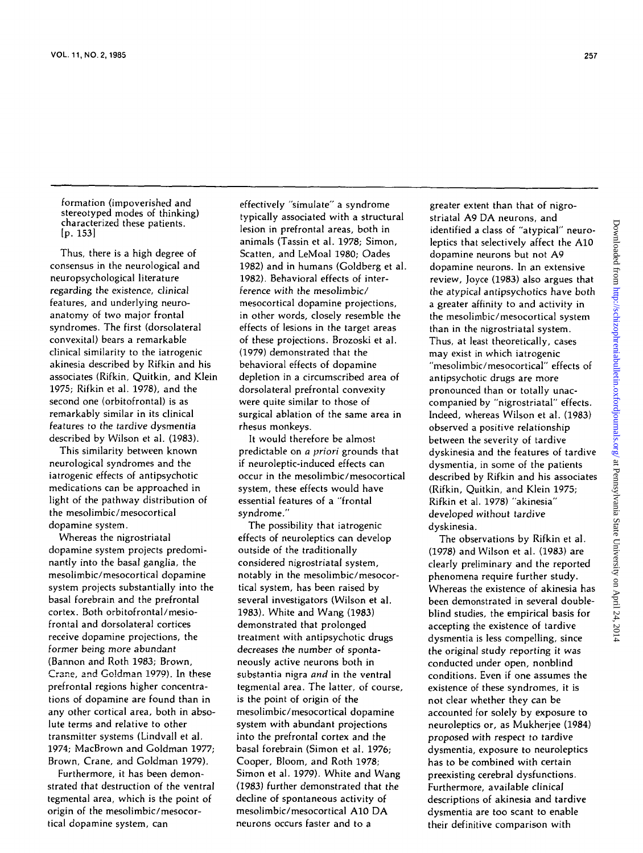formation (impoverished and stereotyped modes of thinking) characterized these patients, [p. 153]

Thus, there is a high degree of consensus in the neurological and neuropsychological literature regarding the existence, clinical features, and underlying neuroanatomy of two major frontal syndromes. The first (dorsolateral convexital) bears a remarkable clinical similarity to the iatrogenic akinesia described by Rifkin and his associates (Rifkin, Quitkin, and Klein 1975; Rifkin et al. 1978), and the second one (orbitofrontal) is as remarkably similar in its clinical features to the tardive dysmentia described by Wilson et al. (1983).

This similarity between known neurological syndromes and the iatrogenic effects of antipsychotic medications can be approached in light of the pathway distribution of the mesolimbic/mesocortical dopamine system.

Whereas the nigrostriatal dopamine system projects predominantly into the basal ganglia, the mesolimbic/mesocortical dopamine system projects substantially into the basal forebrain and the prefrontal cortex. Both orbitofrontal/mesiofrontal and dorsolateral cortices receive dopamine projections, the former being more abundant (Bannon and Roth 1983; Brown, Crane, and Goldman 1979). In these prefrontal regions higher concentrations of dopamine are found than in any other cortical area, both in absolute terms and relative to other transmitter systems (Lindvall et al. 1974; MacBrown and Goldman 1977; Brown, Crane, and Goldman 1979).

Furthermore, it has been demonstrated that destruction of the ventral tegmental area, which is the point of origin of the mesolimbic/mesocortical dopamine system, can

effectively "simulate" a syndrome typically associated with a structural lesion in prefrontal areas, both in animals (Tassin et al. 1978; Simon, Scatten, and LeMoal 1980; Oades 1982) and in humans (Goldberg et al. 1982). Behavioral effects of interference with the mesolimbic/ mesocortical dopamine projections, in other words, closely resemble the effects of lesions in the target areas of these projections. Brozoski et al. (1979) demonstrated that the behavioral effects of dopamine depletion in a circumscribed area of dorsolateral prefrontal convexity were quite similar to those of surgical ablation of the same area in rhesus monkeys.

It would therefore be almost predictable on *a priori* grounds that if neuroleptic-induced effects can occur in the mesolimbic/mesocortical system, these effects would have essential features of a "frontal syndrome.'

The possibility that iatrogenic effects of neuroleptics can develop outside of the traditionally considered nigrostriatal system, notably in the mesolimbic/mesocortical system, has been raised by several investigators (Wilson et al. 1983). White and Wang (1983) demonstrated that prolonged treatment with antipsychotic drugs decreases the number of spontaneously active neurons both in substantia nigra *and* in the ventral tegmental area. The latter, of course, is the point of origin of the mesolimbic/mesocortical dopamine system with abundant projections into the prefrontal cortex and the basal forebrain (Simon et al. 1976; Cooper, Bloom, and Roth 1978; Simon et al. 1979). White and Wang (1983) further demonstrated that the decline of spontaneous activity of mesolimbic/mesocortical A10 DA neurons occurs faster and to a

greater extent than that of nigrostriatal A9 DA neurons, and identified a class of "atypical" neuroleptics that selectively affect the A10 dopamine neurons but not A9 dopamine neurons. In an extensive review, Joyce (1983) also argues that the atypical antipsychotics have both a greater affinity to and activity in the mesolimbic/mesocortical system than in the nigrostriatal system. Thus, at least theoretically, cases may exist in which iatrogenic "mesolimbic/mesocortical" effects of antipsychotic drugs are more pronounced than or totally unaccompanied by "nigrostriatal" effects. Indeed, whereas Wilson et al. (1983) observed a positive relationship between the severity of tardive dyskinesia and the features of tardive dysmentia, in some of the patients described by Rifkin and his associates (Rifkin, Quitkin, and Klein 1975; Rifkin et al. 1978) "akinesia" developed without tardive dyskinesia.

The observations by Rifkin et al. (1978) and Wilson et al. (1983) are clearly preliminary and the reported phenomena require further study. Whereas the existence of akinesia has been demonstrated in several doubleblind studies, the empirical basis for accepting the existence of tardive dysmentia is less compelling, since the original study reporting it was conducted under open, nonblind conditions. Even if one assumes the existence of these syndromes, it is not clear whether they can be accounted for solely by exposure to neuroleptics or, as Mukherjee (1984) proposed with respect to tardive dysmentia, exposure to neuroleptics has to be combined with certain preexisting cerebral dysfunctions. Furthermore, available clinical descriptions of akinesia and tardive dysmentia are too scant to enable their definitive comparison with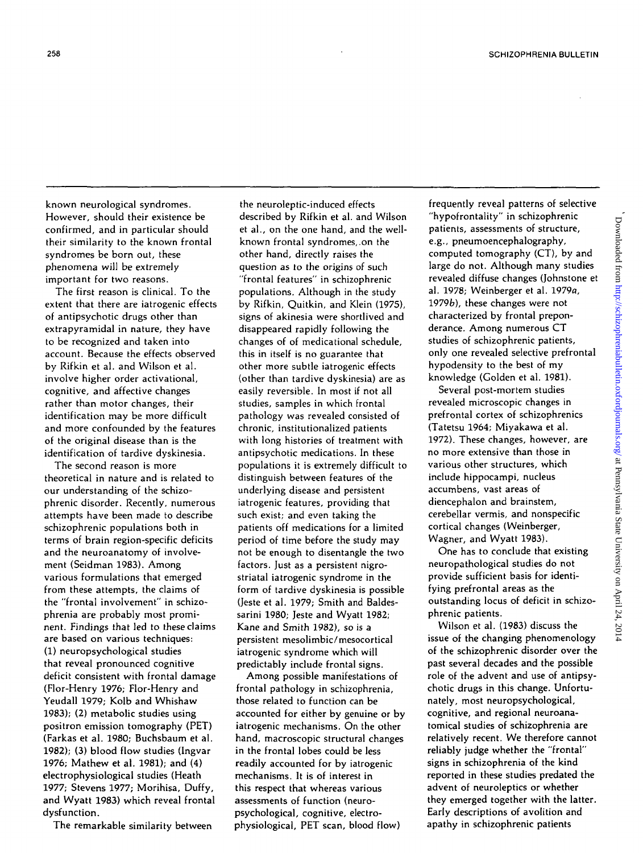known neurological syndromes. However, should their existence be confirmed, and in particular should their similarity to the known frontal syndromes be born out, these phenomena will be extremely important for two reasons.

The first reason is clinical. To the extent that there are iatrogenic effects of antipsychotic drugs other than extrapyramidal in nature, they have to be recognized and taken into account. Because the effects observed by Rifkin et al. and Wilson et al. involve higher order activational, cognitive, and affective changes rather than motor changes, their identification may be more difficult and more confounded by the features of the original disease than is the identification of tardive dyskinesia.

The second reason is more theoretical in nature and is related to our understanding of the schizophrenic disorder. Recently, numerous attempts have been made to describe schizophrenic populations both in terms of brain region-specific deficits and the neuroanatomy of involvement (Seidman 1983). Among various formulations that emerged from these attempts, the claims of the "frontal involvement" in schizophrenia are probably most prominent. Findings that led to these claims are based on various techniques: (1) neuropsychological studies that reveal pronounced cognitive deficit consistent with frontal damage (Flor-Henry 1976; Flor-Henry and Yeudall 1979; Kolb and Whishaw 1983); (2) metabolic studies using positron emission tomography (PET) (Farkas et al. 1980; Buchsbaum et al. 1982); (3) blood flow studies (Ingvar 1976; Mathew et al. 1981); and (4) electrophysiological studies (Heath 1977; Stevens 1977; Morihisa, Duffy, and Wyatt 1983) which reveal frontal dysfunction.

The remarkable similarity between

the neuroleptic-induced effects described by Rifkin et al. and Wilson et al., on the one hand, and the wellknown frontal syndromes,.on the other hand, directly raises the question as to the origins of such "frontal features" in schizophrenic populations. Although in the study by Rifkin, Quitkin, and Klein (1975), signs of akinesia were shortlived and disappeared rapidly following the changes of of medicational schedule, this in itself is no guarantee that other more subtle iatrogenic effects (other than tardive dyskinesia) are as easily reversible. In most if not all studies, samples in which frontal pathology was revealed consisted of chronic, institutionalized patients with long histories of treatment with antipsychotic medications. In these populations it is extremely difficult to distinguish between features of the underlying disease and persistent iatrogenic features, providing that such exist; and even taking the patients off medications for a limited period of time before the study may not be enough to disentangle the two factors. Just as a persistent nigrostriatal iatrogenic syndrome in the form of tardive dyskinesia is possible (Jeste et al. 1979; Smith and Baldessarini 1980; Jeste and Wyatt 1982; Kane and Smith 1982), so is a persistent mesolimbic/mesocortical iatrogenic syndrome which will predictably include frontal signs.

Among possible manifestations of frontal pathology in schizophrenia, those related to function can be accounted for either by genuine or by iatrogenic mechanisms. On the other hand, macroscopic structural changes in the frontal lobes could be less readily accounted for by iatrogenic mechanisms. It is of interest in this respect that whereas various assessments of function (neuropsychological, cognitive, electrophysiological, PET scan, blood flow)

frequently reveal patterns of selective "hypofrontality" in schizophrenic patients, assessments of structure, e.g., pneumoencephalography, computed tomography (CT), by and large do not. Although many studies revealed diffuse changes (Johnstone et al. 1978; Weinberger et al. 1979a, 1979b), these changes were not characterized by frontal preponderance. Among numerous CT studies of schizophrenic patients, only one revealed selective prefrontal hypodensity to the best of my knowledge (Golden et al. 1981).

Several post-mortem studies revealed microscopic changes in prefrontal cortex of schizophrenics (Tatetsu 1964; Miyakawa et al. 1972). These changes, however, are no more extensive than those in various other structures, which include hippocampi, nucleus accumbens, vast areas of diencephalon and brainstem, cerebellar vermis, and nonspecific cortical changes (Weinberger, Wagner, and Wyatt 1983).

One has to conclude that existing neuropathological studies do not provide sufficient basis for identifying prefrontal areas as the outstanding locus of deficit in schizophrenic patients.

Wilson et al. (1983) discuss the issue of the changing phenomenology of the schizophrenic disorder over the past several decades and the possible role of the advent and use of antipsychotic drugs in this change. Unfortunately, most neuropsychological, cognitive, and regional neuroanatomical studies of schizophrenia are relatively recent. We therefore cannot reliably judge whether the "frontal" signs in schizophrenia of the kind reported in these studies predated the advent of neuroleptics or whether they emerged together with the latter. Early descriptions of avolition and apathy in schizophrenic patients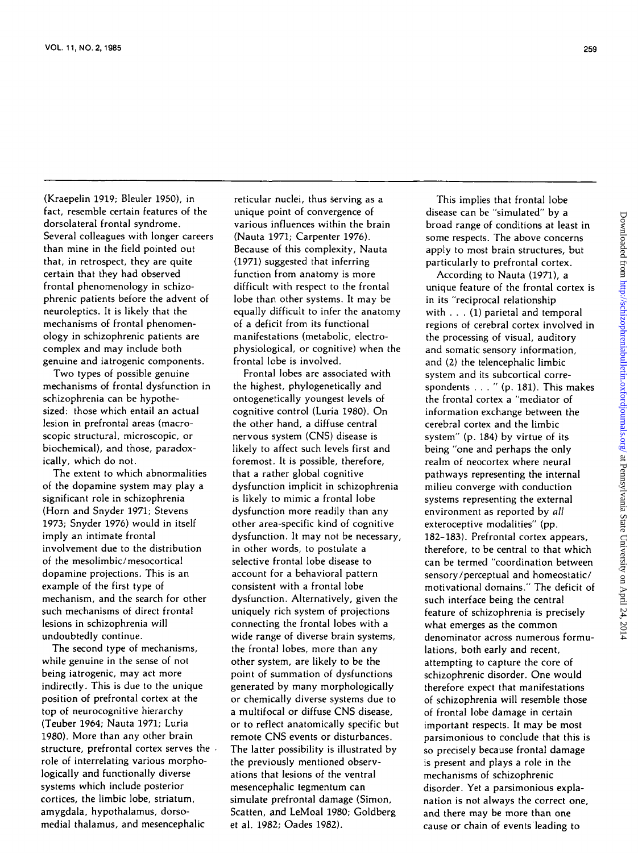(Kraepelin 1919; Bleuler 1950), in fact, resemble certain features of the dorsolateral frontal syndrome. Several colleagues with longer careers than mine in the field pointed out that, in retrospect, they are quite certain that they had observed frontal phenomenology in schizophrenic patients before the advent of neuroleptics. It is likely that the mechanisms of frontal phenomenology in schizophrenic patients are complex and may include both genuine and iatrogenic components.

Two types of possible genuine mechanisms of frontal dysfunction in schizophrenia can be hypothesized: those which entail an actual lesion in prefrontal areas (macroscopic structural, microscopic, or biochemical), and those, paradoxically, which do not.

The extent to which abnormalities of the dopamine system may play a significant role in schizophrenia (Horn and Snyder 1971; Stevens 1973; Snyder 1976) would in itself imply an intimate frontal involvement due to the distribution of the mesolimbic/mesocortical dopamine projections. This is an example of the first type of mechanism, and the search for other such mechanisms of direct frontal lesions in schizophrenia will undoubtedly continue.

The second type of mechanisms, while genuine in the sense of not being iatrogenic, may act more indirectly. This is due to the unique position of prefrontal cortex at the top of neurocognitive hierarchy (Teuber 1964; Nauta 1971; Luria 1980). More than any other brain structure, prefrontal cortex serves the • role of interrelating various morphologically and functionally diverse systems which include posterior cortices, the limbic lobe, striatum, amygdala, hypothalamus, dorsomedial thalamus, and mesencephalic

reticular nuclei, thus serving as a unique point of convergence of various influences within the brain (Nauta 1971; Carpenter 1976). Because of this complexity, Nauta (1971) suggested that inferring function from anatomy is more difficult with respect to the frontal lobe than other systems. It may be equally difficult to infer the anatomy of a deficit from its functional manifestations (metabolic, electrophysiological, or cognitive) when the frontal lobe is involved.

Frontal lobes are associated with the highest, phylogenetically and ontogenetically youngest levels of cognitive control (Luria 1980). On the other hand, a diffuse central nervous system (CNS) disease is likely to affect such levels first and foremost. It is possible, therefore, that a rather global cognitive dysfunction implicit in schizophrenia is likely to mimic a frontal lobe dysfunction more readily than any other area-specific kind of cognitive dysfunction. It may not be necessary, in other words, to postulate a selective frontal lobe disease to account for a behavioral pattern consistent with a frontal lobe dysfunction. Alternatively, given the uniquely rich system of projections connecting the frontal lobes with a wide range of diverse brain systems, the frontal lobes, more than any other system, are likely to be the point of summation of dysfunctions generated by many morphologically or chemically diverse systems due to a multifocal or diffuse CNS disease, or to reflect anatomically specific but remote CNS events or disturbances. The latter possibility is illustrated by the previously mentioned observations that lesions of the ventral mesencephalic tegmentum can simulate prefrontal damage (Simon, Scatten, and LeMoal 1980; Goldberg et al. 1982; Oades 1982).

This implies that frontal lobe disease can be "simulated" by a broad range of conditions at least in some respects. The above concerns apply to most brain structures, but particularly to prefrontal cortex.

According to Nauta (1971), a unique feature of the frontal cortex is in its "reciprocal relationship with .. . (1) parietal and temporal regions of cerebral cortex involved in the processing of visual, auditory and somatic sensory information, and (2) the telencephalic limbic system and its subcortical correspondents ... " (p. 181). This makes the frontal cortex a "mediator of information exchange between the cerebral cortex and the limbic system" (p. 184) by virtue of its being "one and perhaps the only realm of neocortex where neural pathways representing the internal milieu converge with conduction systems representing the external environment as reported by *all* exteroceptive modalities" (pp. 182-183). Prefrontal cortex appears, therefore, to be central to that which can be termed "coordination between sensory/perceptual and homeostatic/ motivational domains." The deficit of such interface being the central feature of schizophrenia is precisely what emerges as the common denominator across numerous formulations, both early and recent, attempting to capture the core of schizophrenic disorder. One would therefore expect that manifestations of schizophrenia will resemble those of frontal lobe damage in certain important respects. It may be most parsimonious to conclude that this is so precisely because frontal damage is present and plays a role in the mechanisms of schizophrenic disorder. Yet a parsimonious explanation is not always the correct one, and there may be more than one cause or chain of events leading to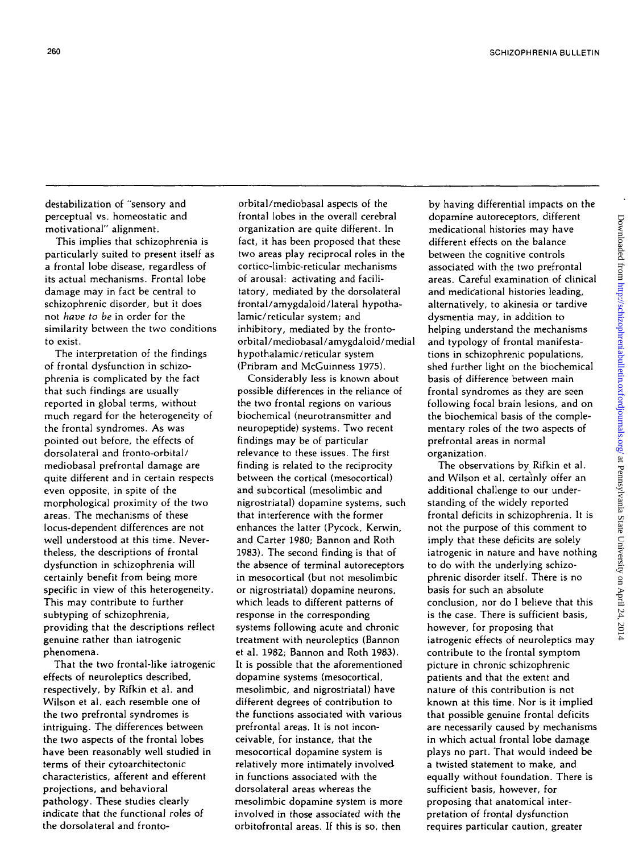destabilization of "sensory and perceptual vs. homeostatic and motivational" alignment.

This implies that schizophrenia is particularly suited to present itself as a frontal lobe disease, regardless of its actual mechanisms. Frontal lobe damage may in fact be central to schizophrenic disorder, but it does not *have to be* in order for the similarity between the two conditions to exist.

The interpretation of the findings of frontal dysfunction in schizophrenia is complicated by the fact that such findings are usually reported in global terms, without much regard for the heterogeneity of the frontal syndromes. As was pointed out before, the effects of dorsolateral and fronto-orbital/ mediobasal prefrontal damage are quite different and in certain respects even opposite, in spite of the morphological proximity of the two areas. The mechanisms of these locus-dependent differences are not well understood at this time. Nevertheless, the descriptions of frontal dysfunction in schizophrenia will certainly benefit from being more specific in view of this heterogeneity. This may contribute to further subtyping of schizophrenia, providing that the descriptions reflect genuine rather than iatrogenic phenomena.

That the two frontal-like iatrogenic effects of neuroleptics described, respectively, by Rifkin et al. and Wilson et al. each resemble one of the two prefrontal syndromes is intriguing. The differences between the two aspects of the frontal lobes have been reasonably well studied in terms of their cytoarchitectonic characteristics, afferent and efferent projections, and behavioral pathology. These studies clearly indicate that the functional roles of the dorsolateral and fronto-

orbital/mediobasal aspects of the frontal lobes in the overall cerebral organization are quite different. In fact, it has been proposed that these two areas play reciprocal roles in the cortico-limbic-reticular mechanisms of arousal: activating and facilitatory, mediated by the dorsolateral frontal/amygdaloid/lateral hypothalamic/reticular system; and inhibitory, mediated by the frontoorbital/mediobasal/amygdaloid/medial hypothalamic/reticular system (Pribram and McGuinness 1975).

Considerably less is known about possible differences in the reliance of the two frontal regions on various biochemical (neurotransmitter and neuropeptide) systems. Two recent findings may be of particular relevance to these issues. The first finding is related to the reciprocity between the cortical (mesocortical) and subcortical (mesolimbic and nigrostriatal) dopamine systems, such that interference with the former enhances the latter (Pycock, Kerwin, and Carter 1980; Bannon and Roth 1983). The second finding is that of the absence of terminal autoreceptors in mesocortical (but not mesolimbic or nigrostriatal) dopamine neurons, which leads to different patterns of response in the corresponding systems following acute and chronic treatment with neuroleptics (Bannon et al. 1982; Bannon and Roth 1983). It is possible that the aforementioned dopamine systems (mesocortical, mesolimbic, and nigrostriatal) have different degrees of contribution to the functions associated with various preferent associated with value prefiond areas, it is not fill. ceivable, for instance, that the mesocortical dopamine system is relatively more intimately involved in functions associated with the dorsolateral areas whereas the mesolimbic dopamine system is more involved in those associated with the<br>orbitofrontal areas. If this is so, then

by having differential impacts on the dopamine autoreceptors, different medicational histories may have different effects on the balance between the cognitive controls associated with the two prefrontal areas. Careful examination of clinical and medicational histories leading, alternatively, to akinesia or tardive dysmentia may, in addition to helping understand the mechanisms and typology of frontal manifestations in schizophrenic populations, shed further light on the biochemical basis of difference between main frontal syndromes as they are seen following focal brain lesions, and on the biochemical basis of the complementary roles of the two aspects of prefrontal areas in normal organization.

The observations by Rifkin et al. and Wilson et al. certainly offer an additional challenge to our understanding of the widely reported frontal deficits in schizophrenia. It is not the purpose of this comment to imply that these deficits are solely iatrogenic in nature and have nothing to do with the underlying schizophrenic disorder itself. There is no basis for such an absolute conclusion, nor do I believe that this is the case. There is sufficient basis, however, for proposing that iatrogenic effects of neuroleptics may contribute to the frontal symptom picture in chronic schizophrenic patients and that the extent and nature of this contribution is not known at this time. Nor is it implied that possible genuine frontal deficits are necessarily caused by mechanisms in which actual frontal lobe damage plays no part. That would indeed be a twisted statement to make, and equally without foundation. There is sufficient basis, however, for proposing that anatomical interproposing that anatomical little pretation or frontal dysfunction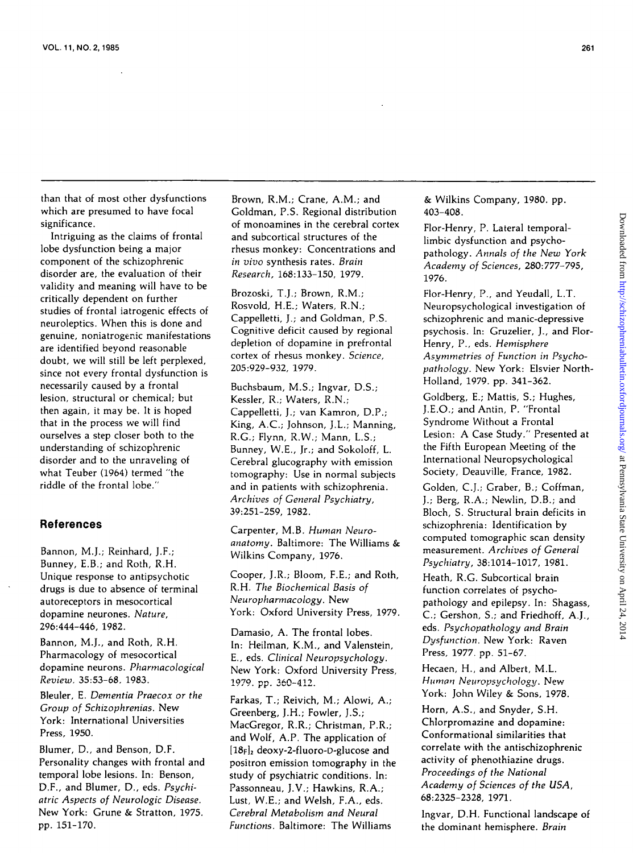than that of most other dysfunctions which are presumed to have focal significance.

Intriguing as the claims of frontal lobe dysfunction being a major component of the schizophrenic disorder are, the evaluation of their validity and meaning will have to be critically dependent on further studies of frontal iatrogenic effects of neuroleptics. When this is done and genuine, noniatrogenic manifestations are identified beyond reasonable doubt, we will still be left perplexed, since not every frontal dysfunction is necessarily caused by a frontal lesion, structural or chemical; but then again, it may be. It is hoped that in the process we will find ourselves a step closer both to the understanding of schizophrenic disorder and to the unraveling of what Teuber (1964) termed "the riddle of the frontal lobe."

#### **References**

Bannon, M.J.; Reinhard, J.F.; Bunney, E.B.; and Roth, R.H. Unique response to antipsychotic drugs is due to absence of terminal autoreceptors in mesocortical dopamine neurones. *Nature,* 296:444-446, 1982.

Bannon, M.J., and Roth, R.H. Pharmacology of mesocortical dopamine neurons. *Pharmacological Review,* 35:53-68. 1983.

Bleuler, E. *Dementia Praecox or the Group of Schizophrenias.* New York: International Universities Press, 1950.

Blumer, D., and Benson, D.F. Personality changes with frontal and temporal lobe lesions. In: Benson, D.F., and Blumer, D., eds. *Psychiatric Aspects of Neurologic Disease.* New York: Grune & Stratton, 1975. pp. 151-170.

Brown, R.M.; Crane, A.M.; and Goldman, P.S. Regional distribution of monoamines in the cerebral cortex and subcortical structures of the rhesus monkey: Concentrations and *in vivo* synthesis rates. *Brain Research,* 168:133-150, 1979.

Brozoski, T.J.; Brown, R.M.; Rosvold, H.E.; Waters, R.N.; Cappelletti, *}.;* and Goldman, P.S. Cognitive deficit caused by regional depletion of dopamine in prefrontal cortex of rhesus monkey. *Science,* 205:929-932, 1979.

Buchsbaum, M.S.; Ingvar, D.S.; Kessler, R.; Waters, R.N.; Cappelletti, *].;* van Kamron, D.P.; King, A.C.; Johnson, J.L.; Manning, R.G.; Flynn, R.W.; Mann, L.S.; Bunney, W.E., Jr.; and Sokoloff, L. Cerebral glucography with emission tomography: Use in normal subjects and in patients with schizophrenia. *Archives of General Psychiatry,* 39:251-259, 1982.

Carpenter, M.B. *Human Neuroanatomy.* Baltimore: The Williams & Wilkins Company, 1976.

Cooper, J.R.; Bloom, F.E.; and Roth, R.H. *The Biochemical Basis of Neuropharmacology.* New York: Oxford University Press, 1979.

Damasio, A. The frontal lobes. In: Heilman, K.M., and Valenstein, E., eds. *Clinical Neuropsychology.* New York: Oxford University Press, 1979. pp. 360-412.

Farkas, T.; Reivich, M.; Alowi, A.; Greenberg, J.H.; Fowler, J.S.; MacGregor, R.R.; Christman, P.R.; and Wolf, A.P. The application of  $[18_F]_2$  deoxy-2-fluoro-D-glucose and positron emission tomography in the study of psychiatric conditions. In: Passonneau, J.V.; Hawkins, R.A.; Lust, W.E.; and Welsh, F.A., eds. *Cerebral Metabolism and Neural Functions.* Baltimore: The Williams

& Wilkins Company, 1980. pp. 403-408.

Flor-Henry, P. Lateral temporallimbic dysfunction and psychopathology. *Annals of the New York Academy of Sciences,* 280:777-795, 1976.

Flor-Henry, P., and Yeudall, L.T. Neuropsychological investigation of schizophrenic and manic-depressive psychosis. In: Gruzelier, *].,* and Flor-Henry, P., eds. *Hemisphere Asymmetries of Function in Psychopathology.* New York: Elsvier North-Holland, 1979. pp. 341-362.

Goldberg, E.; Mattis, S.; Hughes, J.E.O.; and Antin, P. "Frontal Syndrome Without a Frontal Lesion: A Case Study." Presented at the Fifth European Meeting of the International Neuropsychological Society, Deauville, France, 1982.

Golden, C.J.; Graber, B.; Coffman, *}.;* Berg, R.A.; Newlin, D.B.; and Bloch, S. Structural brain deficits in schizophrenia: Identification by computed tomographic scan density measurement. *Archives of General Psychiatry,* 38:1014-1017, 1981.

Heath, R.G. Subcortical brain function correlates of psychopathology and epilepsy. In: Shagass, C; Gershon, S.; and Friedhoff, A.J., eds. *Psychopathology and Brain Dysfunction.* New York: Raven Press, 1977. pp. 51-67.

Hecaen, H., and Albert, M.L. *Human Neuropsychology.* New York: John Wiley & Sons, 1978.

Horn, A.S., and Snyder, S.H. Chlorpromazine and dopamine: Conformational similarities that correlate with the antischizophrenic activity of phenothiazine drugs. *Proceedings of the National Academy of Sciences of the USA,* 68:2325-2328, 1971.

Ingvar, D.H. Functional landscape of the dominant hemisphere. *Brain*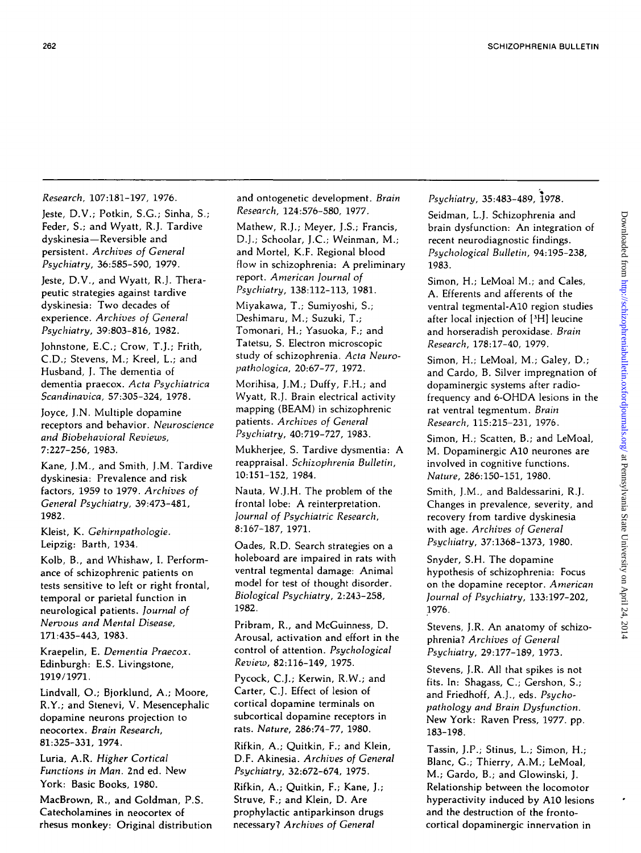*Research,* 107:181-197, 1976.

Jeste, D.V.; Potkin, S.G.; Sinha, S.; Feder, S.; and Wyatt, R.J. Tardive dyskinesia—Reversible and persistent. *Archives of General Psychiatry,* 36:585-590, 1979.

Jeste, D.V., and Wyatt, R.J. Therapeutic strategies against tardive dyskinesia: Two decades of experience. *Archives of General Psychiatry,* 39:803-816, 1982.

Johnstone, E.C.; Crow, T.J.; Frith, CD.; Stevens, M.; Kreel, L.; and Husband, J. The dementia of dementia praecox. *Acta Psychiatrica Scandinavica,* 57:305-324, 1978.

Joyce, J.N. Multiple dopamine receptors and behavior. *Neuroscience and Biobehavioral Reviews,* 7:227-256, 1983.

Kane, J.M., and Smith, J.M. Tardive dyskinesia: Prevalence and risk factors, 1959 to 1979. *Archives of General Psychiatry,* 39:473-481, 1982.

Kleist, K. *Gehirnpathologie.* Leipzig: Barth, 1934.

Kolb, B., and Whishaw, I. Performance of schizophrenic patients on tests sensitive to left or right frontal, temporal or parietal function in neurological patients. *Journal of Nervous and Mental Disease,* 171:435-443, 1983.

Kraepelin, E. *Dementia Praecox.* Edinburgh: E.S. Livingstone, 1919/1971.

Lindvall, O.; Bjorklund, A.; Moore, R.Y.; and Stenevi, V. Mesencephalic dopamine neurons projection to neocortex. *Brain Research,* 81:325-331, 1974.

Luria, A.R. *Higher Cortical Functions in Man.* 2nd ed. New York: Basic Books, 1980.

MacBrown, R., and Goldman, P.S. Catecholamines in neocortex of rhesus monkey: Original distribution and ontogenetic development. *Brain Research,* 124:576-580, 1977.

Mathew, R.J.; Meyer, J.S.; Francis, D.J.; Schoolar, J.C.; Weinman, M.; and Mortel, K.F. Regional blood flow in schizophrenia: A preliminary report. *American Journal of Psychiatry,* 138:112-113, 1981.

Miyakawa, T.; Sumiyoshi, S.; Deshimaru, M.; Suzuki, T.; Tomonari, H.; Yasuoka, F.; and Tatetsu, S. Electron microscopic study of schizophrenia. *Acta Neuropathologica,* 20:67-77, 1972.

Morihisa, J.M.; Duffy, F.H.; and Wyatt, R.J. Brain electrical activity mapping (BEAM) in schizophrenic patients. *Archives of General Psychiatry,* 40:719-727, 1983.

Mukherjee, S. Tardive dysmentia: A reappraisal. *Schizophrenia Bulletin,* 10:151-152, 1984.

Nauta, W.J.H. The problem of the frontal lobe: A reinterpretation. *Journal of Psychiatric Research,* 8:167-187, 1971.

Oades, R.D. Search strategies on a holeboard are impaired in rats with ventral tegmental damage: Animal model for test of thought disorder. *Biological Psychiatry,* 2:243-258, 1982.

Pribram, R., and McGuinness, D. Arousal, activation and effort in the control of attention. *Psychological Review,* 82:116-149, 1975.

Pycock, C.J.; Kerwin, R.W.; and Carter, C.J. Effect of lesion of cortical dopamine terminals on subcortical dopamine receptors in rats. *Nature,* 286:74-77, 1980.

Rifkin, A.; Quitkin, F.; and Klein, D.F. Akinesia. *Archives of General Psychiatry,* 32:672-674, 1975.

Rifkin, A.; Quitkin, F.; Kane, J.; Struve, F.; and Klein, D. Are prophylactic antiparkinson drugs necessary? *Archives of General*

### *Psychiatry,* 35:483-489, 1978.

Seidman, L.J. Schizophrenia and brain dysfunction: An integration of recent neurodiagnostic findings. *Psychological Bulletin,* 94:195-238, 1983.

Simon, H.; LeMoal M.; and Cales, A. Efferents and afferents of the ventral tegmental-AlO region studies after local injection of [<sup>3</sup>H] leucine and horseradish peroxidase. *Brain Research,* 178:17-40, 1979.

Simon, H.; LeMoal, M.; Galey, D.; and Cardo, B. Silver impregnation of dopaminergic systems after radiofrequency and 6-OHDA lesions in the rat ventral tegmentum. *Brain Research,* 115:215-231, 1976.

Simon, H.; Scatten, B.; and LeMoal, M. Dopaminergic AlO neurones are involved in cognitive functions. *Nature,* 286:150-151, 1980.

Smith, J.M., and Baldessarini, R.J. Changes in prevalence, severity, and recovery from tardive dyskinesia with age. *Archives of General Psychiatry,* 37:1368-1373, 1980.

Snyder, S.H. The dopamine hypothesis of schizophrenia: Focus on the dopamine receptor. *American Journal of Psychiatry,* 133:197-202, 1976.

Stevens, J.R. An anatomy of schizophrenia? *Archives of General Psychiatry,* 29:177-189, 1973.

Stevens, J.R. All that spikes is not fits. In: Shagass, C; Gershon, S.; and Friedhoff, A.J., eds. *Psychopathology and Brain Dysfunction.* New York: Raven Press, 1977. pp. 183-198.

Tassin, J.P.; Stinus, L.; Simon, H.; Blanc, G.; Thierry, A.M.; LeMoal, M.; Gardo, B.; and Glowinski, J. Relationship between the locomotor hyperactivity induced by AlO lesions and the destruction of the frontocortical dopaminergic innervation in